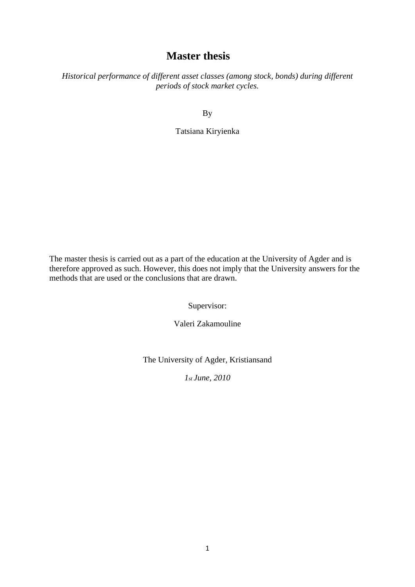### **Master thesis**

*Historical performance of different asset classes (among stock, bonds) during different periods of stock market cycles.*

By

Tatsiana Kiryienka

The master thesis is carried out as a part of the education at the University of Agder and is therefore approved as such. However, this does not imply that the University answers for the methods that are used or the conclusions that are drawn.

Supervisor:

Valeri Zakamouline

The University of Agder, Kristiansand

*1st June, 2010*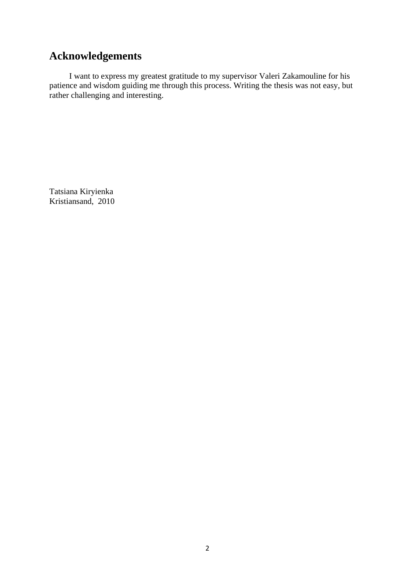### **Acknowledgements**

I want to express my greatest gratitude to my supervisor Valeri Zakamouline for his patience and wisdom guiding me through this process. Writing the thesis was not easy, but rather challenging and interesting.

Tatsiana Kiryienka Kristiansand, 2010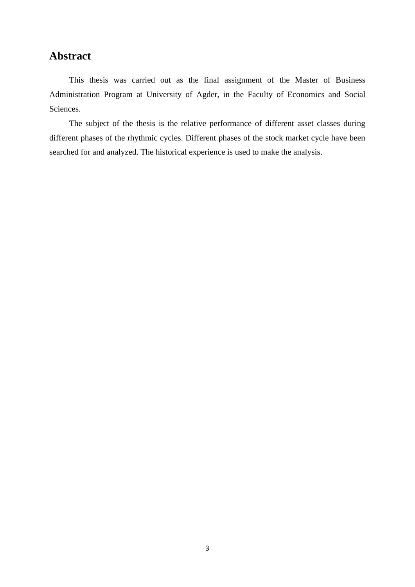### **Abstract**

This thesis was carried out as the final assignment of the Master of Business Administration Program at University of Agder, in the Faculty of Economics and Social Sciences.

The subject of the thesis is the relative performance of different asset classes during different phases of the rhythmic cycles. Different phases of the stock market cycle have been searched for and analyzed. The historical experience is used to make the analysis.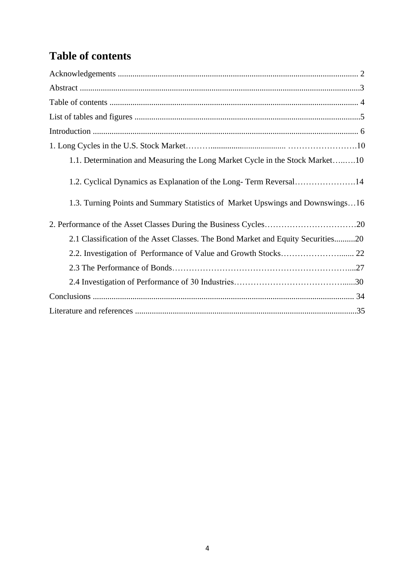## **Table of contents**

| 1.1. Determination and Measuring the Long Market Cycle in the Stock Market10     |
|----------------------------------------------------------------------------------|
| 1.2. Cyclical Dynamics as Explanation of the Long-Term Reversal14                |
| 1.3. Turning Points and Summary Statistics of Market Upswings and Downswings16   |
|                                                                                  |
| 2.1 Classification of the Asset Classes. The Bond Market and Equity Securities20 |
|                                                                                  |
|                                                                                  |
|                                                                                  |
|                                                                                  |
|                                                                                  |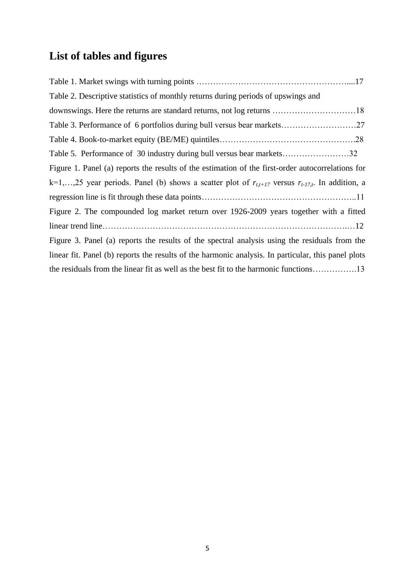# **List of tables and figures**

| Table 2. Descriptive statistics of monthly returns during periods of upswings and                         |  |
|-----------------------------------------------------------------------------------------------------------|--|
| downswings. Here the returns are standard returns, not log returns 18                                     |  |
|                                                                                                           |  |
|                                                                                                           |  |
|                                                                                                           |  |
| Figure 1. Panel (a) reports the results of the estimation of the first-order autocorrelations for         |  |
| k=1,,25 year periods. Panel (b) shows a scatter plot of $r_{t,t+17}$ versus $r_{t-17,t}$ . In addition, a |  |
|                                                                                                           |  |
| Figure 2. The compounded log market return over 1926-2009 years together with a fitted                    |  |
|                                                                                                           |  |
| Figure 3. Panel (a) reports the results of the spectral analysis using the residuals from the             |  |
| linear fit. Panel (b) reports the results of the harmonic analysis. In particular, this panel plots       |  |
|                                                                                                           |  |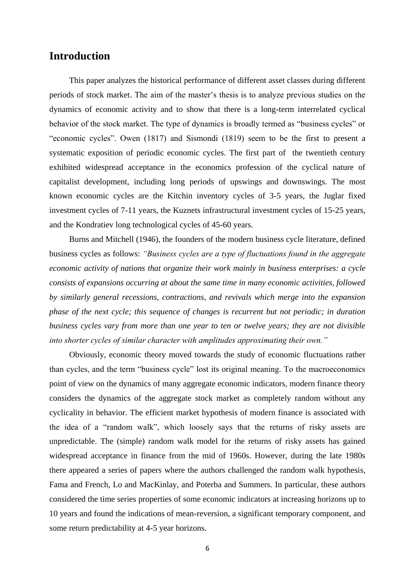### **Introduction**

This paper analyzes the historical performance of different asset classes during different periods of stock market. The aim of the master's thesis is to analyze previous studies on the dynamics of economic activity and to show that there is a long-term interrelated cyclical behavior of the stock market. The type of dynamics is broadly termed as "business cycles" or "economic cycles". Owen (1817) and Sismondi (1819) seem to be the first to present a systematic exposition of periodic economic cycles. The first part of the twentieth century exhibited widespread acceptance in the economics profession of the cyclical nature of capitalist development, including long periods of upswings and downswings. The most known economic cycles are the Kitchin inventory cycles of 3-5 years, the Juglar fixed investment cycles of 7-11 years, the Kuznets infrastructural investment cycles of 15-25 years, and the Kondratiev long technological cycles of 45-60 years.

Burns and Mitchell (1946), the founders of the modern business cycle literature, defined business cycles as follows: *"Business cycles are a type of fluctuations found in the aggregate economic activity of nations that organize their work mainly in business enterprises: a cycle consists of expansions occurring at about the same time in many economic activities, followed by similarly general recessions, contractions, and revivals which merge into the expansion phase of the next cycle; this sequence of changes is recurrent but not periodic; in duration business cycles vary from more than one year to ten or twelve years; they are not divisible into shorter cycles of similar character with amplitudes approximating their own."*

Obviously, economic theory moved towards the study of economic fluctuations rather than cycles, and the term "business cycle" lost its original meaning. To the macroeconomics point of view on the dynamics of many aggregate economic indicators, modern finance theory considers the dynamics of the aggregate stock market as completely random without any cyclicality in behavior. The efficient market hypothesis of modern finance is associated with the idea of a "random walk", which loosely says that the returns of risky assets are unpredictable. The (simple) random walk model for the returns of risky assets has gained widespread acceptance in finance from the mid of 1960s. However, during the late 1980s there appeared a series of papers where the authors challenged the random walk hypothesis, Fama and French, Lo and MacKinlay, and Poterba and Summers. In particular, these authors considered the time series properties of some economic indicators at increasing horizons up to 10 years and found the indications of mean-reversion, a significant temporary component, and some return predictability at 4-5 year horizons.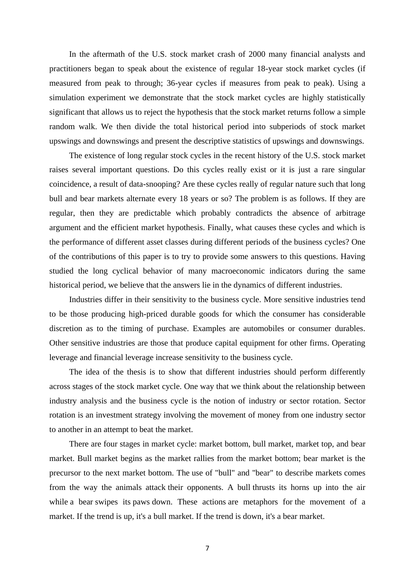In the aftermath of the U.S. stock market crash of 2000 many financial analysts and practitioners began to speak about the existence of regular 18-year stock market cycles (if measured from peak to through; 36-year cycles if measures from peak to peak). Using a simulation experiment we demonstrate that the stock market cycles are highly statistically significant that allows us to reject the hypothesis that the stock market returns follow a simple random walk. We then divide the total historical period into subperiods of stock market upswings and downswings and present the descriptive statistics of upswings and downswings.

The existence of long regular stock cycles in the recent history of the U.S. stock market raises several important questions. Do this cycles really exist or it is just a rare singular coincidence, a result of data-snooping? Are these cycles really of regular nature such that long bull and bear markets alternate every 18 years or so? The problem is as follows. If they are regular, then they are predictable which probably contradicts the absence of arbitrage argument and the efficient market hypothesis. Finally, what causes these cycles and which is the performance of different asset classes during different periods of the business cycles? One of the contributions of this paper is to try to provide some answers to this questions. Having studied the long cyclical behavior of many macroeconomic indicators during the same historical period, we believe that the answers lie in the dynamics of different industries.

Industries differ in their sensitivity to the business cycle. More sensitive industries tend to be those producing high-priced durable goods for which the consumer has considerable discretion as to the timing of purchase. Examples are automobiles or consumer durables. Other sensitive industries are those that produce capital equipment for other firms. Operating leverage and financial leverage increase sensitivity to the business cycle.

The idea of the thesis is to show that different industries should perform differently across stages of the stock market cycle. One way that we think about the relationship between industry analysis and the business cycle is the notion of industry or sector rotation. Sector rotation is an investment strategy involving the movement of money from one industry sector to another in an attempt to beat the market.

There are four stages in market cycle: market bottom, bull market, market top, and bear market. Bull market begins as the market rallies from the market bottom; bear market is the precursor to the next market bottom. The use of "bull" and "bear" to describe markets comes from the way the animals attack their opponents. A bull thrusts its horns up into the air while a bear swipes its paws down. These actions are metaphors for the movement of a market. If the trend is up, it's a bull market. If the trend is down, it's a bear market.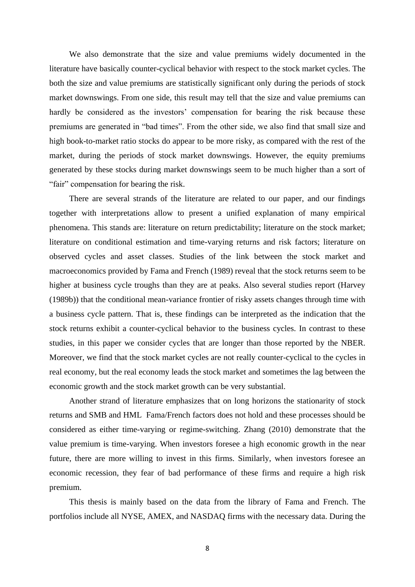We also demonstrate that the size and value premiums widely documented in the literature have basically counter-cyclical behavior with respect to the stock market cycles. The both the size and value premiums are statistically significant only during the periods of stock market downswings. From one side, this result may tell that the size and value premiums can hardly be considered as the investors' compensation for bearing the risk because these premiums are generated in "bad times". From the other side, we also find that small size and high book-to-market ratio stocks do appear to be more risky, as compared with the rest of the market, during the periods of stock market downswings. However, the equity premiums generated by these stocks during market downswings seem to be much higher than a sort of "fair" compensation for bearing the risk.

There are several strands of the literature are related to our paper, and our findings together with interpretations allow to present a unified explanation of many empirical phenomena. This stands are: literature on return predictability; literature on the stock market; literature on conditional estimation and time-varying returns and risk factors; literature on observed cycles and asset classes. Studies of the link between the stock market and macroeconomics provided by Fama and French (1989) reveal that the stock returns seem to be higher at business cycle troughs than they are at peaks. Also several studies report (Harvey (1989b)) that the conditional mean-variance frontier of risky assets changes through time with a business cycle pattern. That is, these findings can be interpreted as the indication that the stock returns exhibit a counter-cyclical behavior to the business cycles. In contrast to these studies, in this paper we consider cycles that are longer than those reported by the NBER. Moreover, we find that the stock market cycles are not really counter-cyclical to the cycles in real economy, but the real economy leads the stock market and sometimes the lag between the economic growth and the stock market growth can be very substantial.

Another strand of literature emphasizes that on long horizons the stationarity of stock returns and SMB and HML Fama/French factors does not hold and these processes should be considered as either time-varying or regime-switching. Zhang (2010) demonstrate that the value premium is time-varying. When investors foresee a high economic growth in the near future, there are more willing to invest in this firms. Similarly, when investors foresee an economic recession, they fear of bad performance of these firms and require a high risk premium.

This thesis is mainly based on the data from the library of Fama and French. The portfolios include all NYSE, AMEX, and NASDAQ firms with the necessary data. During the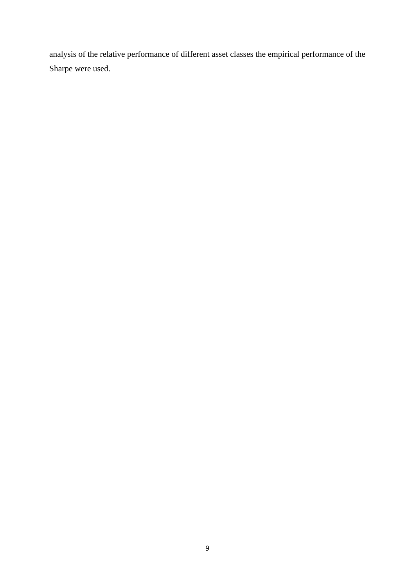analysis of the relative performance of different asset classes the empirical performance of the Sharpe were used.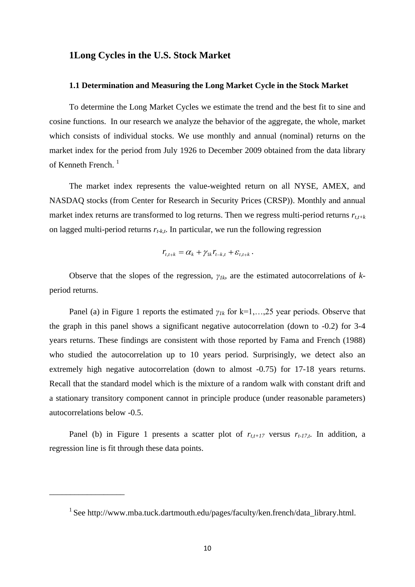### **1Long Cycles in the U.S. Stock Market**

#### **1.1 Determination and Measuring the Long Market Cycle in the Stock Market**

To determine the Long Market Cycles we estimate the trend and the best fit to sine and cosine functions. In our research we analyze the behavior of the aggregate, the whole, market which consists of individual stocks. We use monthly and annual (nominal) returns on the market index for the period from July 1926 to December 2009 obtained from the data library of Kenneth French.<sup>1</sup>

The market index represents the value-weighted return on all NYSE, AMEX, and NASDAQ stocks (from Center for Research in Security Prices (CRSP)). Monthly and annual market index returns are transformed to log returns. Then we regress multi-period returns *rt,t+k* on lagged multi-period returns *rt-k,t*. In particular, we run the following regression

$$
r_{t,t+k} = \alpha_k + \gamma_{1k} r_{t-k,t} + \varepsilon_{t,t+k}.
$$

Observe that the slopes of the regression, *γ1k*, are the estimated autocorrelations of *k*period returns.

Panel (a) in Figure 1 reports the estimated  $\gamma_{1k}$  for k=1,…,25 year periods. Observe that the graph in this panel shows a significant negative autocorrelation (down to -0.2) for 3-4 years returns. These findings are consistent with those reported by Fama and French (1988) who studied the autocorrelation up to 10 years period. Surprisingly, we detect also an extremely high negative autocorrelation (down to almost -0.75) for 17-18 years returns. Recall that the standard model which is the mixture of a random walk with constant drift and a stationary transitory component cannot in principle produce (under reasonable parameters) autocorrelations below -0.5.

Panel (b) in Figure 1 presents a scatter plot of  $r_{t,t+17}$  versus  $r_{t-17,t}$ . In addition, a regression line is fit through these data points.

\_\_\_\_\_\_\_\_\_\_\_\_\_\_\_\_\_\_

<sup>&</sup>lt;sup>1</sup> See http://www.mba.tuck.dartmouth.edu/pages/faculty/ken.french/data\_library.html.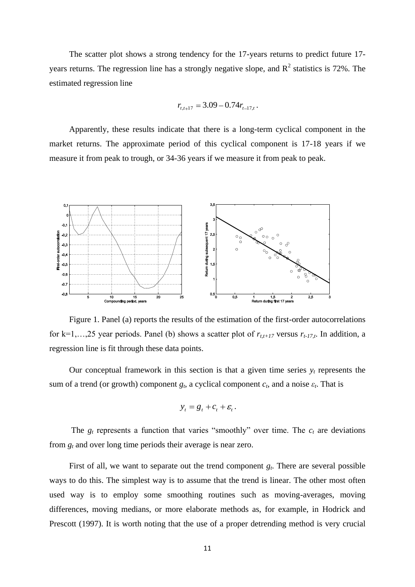The scatter plot shows a strong tendency for the 17-years returns to predict future 17 years returns. The regression line has a strongly negative slope, and  $R^2$  statistics is 72%. The estimated regression line

$$
r_{t,t+17} = 3.09 - 0.74 r_{t-17,t}.
$$

Apparently, these results indicate that there is a long-term cyclical component in the market returns. The approximate period of this cyclical component is 17-18 years if we measure it from peak to trough, or 34-36 years if we measure it from peak to peak.



Figure 1. Panel (a) reports the results of the estimation of the first-order autocorrelations for k=1,…,25 year periods. Panel (b) shows a scatter plot of  $r_{t,t+17}$  versus  $r_{t-17,t}$ . In addition, a regression line is fit through these data points.

Our conceptual framework in this section is that a given time series  $y_t$  represents the sum of a trend (or growth) component  $g_t$ , a cyclical component  $c_t$ , and a noise  $\varepsilon_t$ . That is

$$
y_t = g_t + c_t + \varepsilon_t.
$$

The  $g_t$  represents a function that varies "smoothly" over time. The  $c_t$  are deviations from *g<sup>t</sup>* and over long time periods their average is near zero.

First of all, we want to separate out the trend component  $g_t$ . There are several possible ways to do this. The simplest way is to assume that the trend is linear. The other most often used way is to employ some smoothing routines such as moving-averages, moving differences, moving medians, or more elaborate methods as, for example, in Hodrick and Prescott (1997). It is worth noting that the use of a proper detrending method is very crucial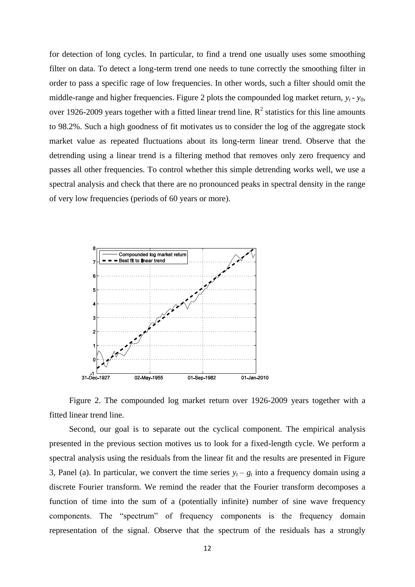for detection of long cycles. In particular, to find a trend one usually uses some smoothing filter on data. To detect a long-term trend one needs to tune correctly the smoothing filter in order to pass a specific rage of low frequencies. In other words, such a filter should omit the middle-range and higher frequencies. Figure 2 plots the compounded log market return,  $y_t - y_0$ , over 1926-2009 years together with a fitted linear trend line.  $R^2$  statistics for this line amounts to 98.2%. Such a high goodness of fit motivates us to consider the log of the aggregate stock market value as repeated fluctuations about its long-term linear trend. Observe that the detrending using a linear trend is a filtering method that removes only zero frequency and passes all other frequencies. To control whether this simple detrending works well, we use a spectral analysis and check that there are no pronounced peaks in spectral density in the range of very low frequencies (periods of 60 years or more).



Figure 2. The compounded log market return over 1926-2009 years together with a fitted linear trend line.

Second, our goal is to separate out the cyclical component. The empirical analysis presented in the previous section motives us to look for a fixed-length cycle. We perform a spectral analysis using the residuals from the linear fit and the results are presented in Figure 3, Panel (a). In particular, we convert the time series  $y_t - g_t$  into a frequency domain using a discrete Fourier transform. We remind the reader that the Fourier transform decomposes a function of time into the sum of a (potentially infinite) number of sine wave frequency components. The "spectrum" of frequency components is the frequency domain representation of the signal. Observe that the spectrum of the residuals has a strongly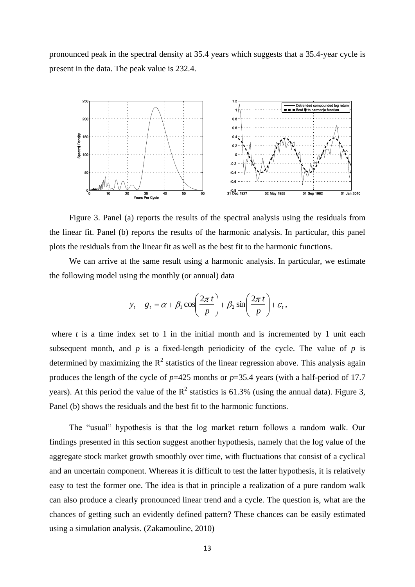pronounced peak in the spectral density at 35.4 years which suggests that a 35.4-year cycle is present in the data. The peak value is 232.4.



Figure 3. Panel (a) reports the results of the spectral analysis using the residuals from the linear fit. Panel (b) reports the results of the harmonic analysis. In particular, this panel plots the residuals from the linear fit as well as the best fit to the harmonic functions.

We can arrive at the same result using a harmonic analysis. In particular, we estimate the following model using the monthly (or annual) data

$$
y_t - g_t = \alpha + \beta_1 \cos\left(\frac{2\pi t}{p}\right) + \beta_2 \sin\left(\frac{2\pi t}{p}\right) + \varepsilon_t,
$$

where *t* is a time index set to 1 in the initial month and is incremented by 1 unit each subsequent month, and  $p$  is a fixed-length periodicity of the cycle. The value of  $p$  is determined by maximizing the  $R^2$  statistics of the linear regression above. This analysis again produces the length of the cycle of *p*=425 months or *p*=35.4 years (with a half-period of 17.7 years). At this period the value of the  $R^2$  statistics is 61.3% (using the annual data). Figure 3, Panel (b) shows the residuals and the best fit to the harmonic functions.

The "usual" hypothesis is that the log market return follows a random walk. Our findings presented in this section suggest another hypothesis, namely that the log value of the aggregate stock market growth smoothly over time, with fluctuations that consist of a cyclical and an uncertain component. Whereas it is difficult to test the latter hypothesis, it is relatively easy to test the former one. The idea is that in principle a realization of a pure random walk can also produce a clearly pronounced linear trend and a cycle. The question is, what are the chances of getting such an evidently defined pattern? These chances can be easily estimated using a simulation analysis. (Zakamouline, 2010)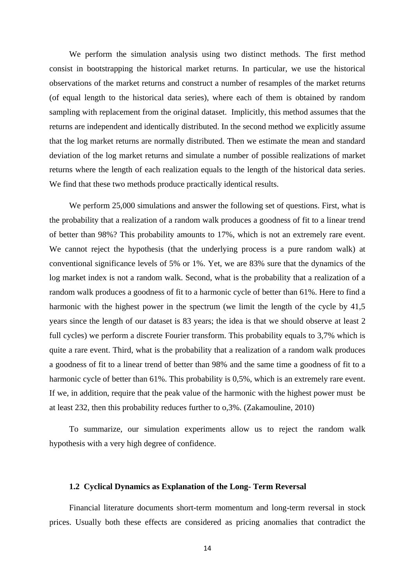We perform the simulation analysis using two distinct methods. The first method consist in bootstrapping the historical market returns. In particular, we use the historical observations of the market returns and construct a number of resamples of the market returns (of equal length to the historical data series), where each of them is obtained by random sampling with replacement from the original dataset. Implicitly, this method assumes that the returns are independent and identically distributed. In the second method we explicitly assume that the log market returns are normally distributed. Then we estimate the mean and standard deviation of the log market returns and simulate a number of possible realizations of market returns where the length of each realization equals to the length of the historical data series. We find that these two methods produce practically identical results.

We perform 25,000 simulations and answer the following set of questions. First, what is the probability that a realization of a random walk produces a goodness of fit to a linear trend of better than 98%? This probability amounts to 17%, which is not an extremely rare event. We cannot reject the hypothesis (that the underlying process is a pure random walk) at conventional significance levels of 5% or 1%. Yet, we are 83% sure that the dynamics of the log market index is not a random walk. Second, what is the probability that a realization of a random walk produces a goodness of fit to a harmonic cycle of better than 61%. Here to find a harmonic with the highest power in the spectrum (we limit the length of the cycle by 41,5 years since the length of our dataset is 83 years; the idea is that we should observe at least 2 full cycles) we perform a discrete Fourier transform. This probability equals to 3,7% which is quite a rare event. Third, what is the probability that a realization of a random walk produces a goodness of fit to a linear trend of better than 98% and the same time a goodness of fit to a harmonic cycle of better than 61%. This probability is 0,5%, which is an extremely rare event. If we, in addition, require that the peak value of the harmonic with the highest power must be at least 232, then this probability reduces further to o,3%. (Zakamouline, 2010)

To summarize, our simulation experiments allow us to reject the random walk hypothesis with a very high degree of confidence.

#### **1.2 Cyclical Dynamics as Explanation of the Long- Term Reversal**

Financial literature documents short-term momentum and long-term reversal in stock prices. Usually both these effects are considered as pricing anomalies that contradict the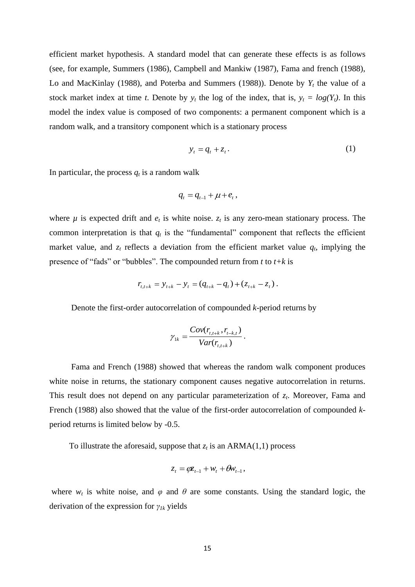efficient market hypothesis. A standard model that can generate these effects is as follows (see, for example, Summers (1986), Campbell and Mankiw (1987), Fama and french (1988), Lo and MacKinlay (1988), and Poterba and Summers (1988)). Denote by  $Y_t$  the value of a stock market index at time *t*. Denote by  $y_t$  the log of the index, that is,  $y_t = log(Y_t)$ . In this model the index value is composed of two components: a permanent component which is a random walk, and a transitory component which is a stationary process

$$
y_t = q_t + z_t. \tag{1}
$$

In particular, the process  $q_t$  is a random walk

$$
q_t = q_{t-1} + \mu + e_t,
$$

where  $\mu$  is expected drift and  $e_t$  is white noise.  $z_t$  is any zero-mean stationary process. The common interpretation is that  $q_t$  is the "fundamental" component that reflects the efficient market value, and  $z_t$  reflects a deviation from the efficient market value  $q_t$ , implying the presence of "fads" or "bubbles". The compounded return from *t* to *t+k* is

$$
r_{t,t+k} = y_{t+k} - y_t = (q_{t+k} - q_t) + (z_{t+k} - z_t).
$$

Denote the first-order autocorrelation of compounded *k*-period returns by

$$
\gamma_{1k} = \frac{Cov(r_{t,t+k}, r_{t-k,t})}{Var(r_{t,t+k})}.
$$

Fama and French (1988) showed that whereas the random walk component produces white noise in returns, the stationary component causes negative autocorrelation in returns. This result does not depend on any particular parameterization of *zt*. Moreover, Fama and French (1988) also showed that the value of the first-order autocorrelation of compounded *k*period returns is limited below by -0.5.

To illustrate the aforesaid, suppose that  $z_t$  is an ARMA(1,1) process

$$
z_t = \varphi z_{t-1} + w_t + \theta w_{t-1},
$$

where  $w_t$  is white noise, and  $\varphi$  and  $\theta$  are some constants. Using the standard logic, the derivation of the expression for *γ1k* yields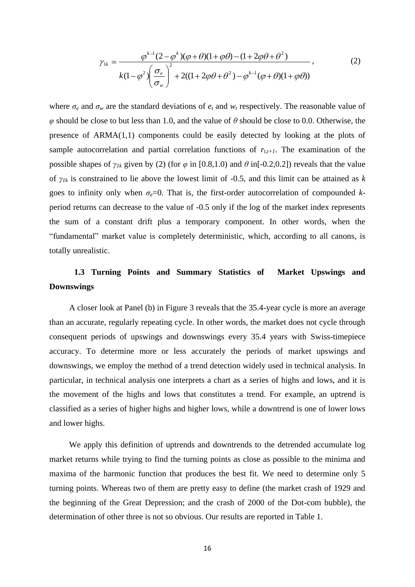$$
\gamma_{1k} = \frac{\varphi^{k-1}(2-\varphi^{k})(\varphi+\theta)(1+\varphi\theta) - (1+2\varphi\theta+\theta^{2})}{k(1-\varphi^{2})\left(\frac{\sigma_{e}}{\sigma_{w}}\right)^{2} + 2((1+2\varphi\theta+\theta^{2})-\varphi^{k-1}(\varphi+\theta)(1+\varphi\theta))},
$$
\n(2)

where  $\sigma_e$  and  $\sigma_w$  are the standard deviations of  $e_t$  and  $w_t$  respectively. The reasonable value of *φ* should be close to but less than 1.0, and the value of *θ* should be close to 0.0. Otherwise, the presence of ARMA(1,1) components could be easily detected by looking at the plots of sample autocorrelation and partial correlation functions of  $r_{t+1}$ . The examination of the possible shapes of  $\gamma_{1k}$  given by (2) (for  $\varphi$  in [0.8,1.0) and  $\theta$  in[-0.2,0.2]) reveals that the value of *γ1k* is constrained to lie above the lowest limit of -0.5, and this limit can be attained as *k* goes to infinity only when  $\sigma_e=0$ . That is, the first-order autocorrelation of compounded *k*period returns can decrease to the value of -0.5 only if the log of the market index represents the sum of a constant drift plus a temporary component. In other words, when the "fundamental" market value is completely deterministic, which, according to all canons, is totally unrealistic.

### **1.3 Turning Points and Summary Statistics of Market Upswings and Downswings**

A closer look at Panel (b) in Figure 3 reveals that the 35.4-year cycle is more an average than an accurate, regularly repeating cycle. In other words, the market does not cycle through consequent periods of upswings and downswings every 35.4 years with Swiss-timepiece accuracy. To determine more or less accurately the periods of market upswings and downswings, we employ the method of a trend detection widely used in technical analysis. In particular, in technical analysis one interprets a chart as a series of highs and lows, and it is the movement of the highs and lows that constitutes a trend. For example, an uptrend is classified as a series of higher highs and higher lows, while a downtrend is one of lower lows and lower highs.

We apply this definition of uptrends and downtrends to the detrended accumulate log market returns while trying to find the turning points as close as possible to the minima and maxima of the harmonic function that produces the best fit. We need to determine only 5 turning points. Whereas two of them are pretty easy to define (the market crash of 1929 and the beginning of the Great Depression; and the crash of 2000 of the Dot-com bubble), the determination of other three is not so obvious. Our results are reported in Table 1.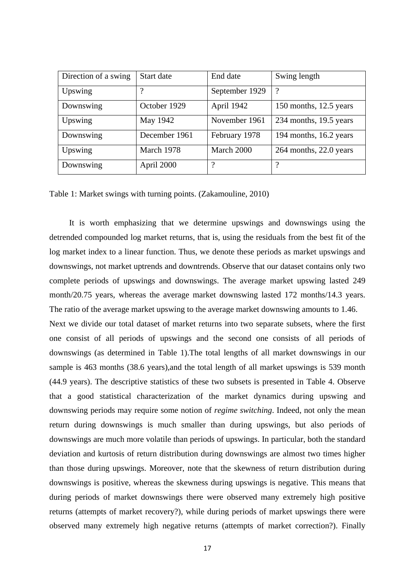| Direction of a swing | Start date    | End date       | Swing length           |
|----------------------|---------------|----------------|------------------------|
| Upswing              | ?             | September 1929 | $\gamma$               |
| Downswing            | October 1929  | April 1942     | 150 months, 12.5 years |
| Upswing              | May 1942      | November 1961  | 234 months, 19.5 years |
| Downswing            | December 1961 | February 1978  | 194 months, 16.2 years |
| Upswing              | March 1978    | March 2000     | 264 months, 22.0 years |
| Downswing            | April 2000    | $\gamma$       | $\gamma$               |

Table 1: Market swings with turning points. (Zakamouline, 2010)

It is worth emphasizing that we determine upswings and downswings using the detrended compounded log market returns, that is, using the residuals from the best fit of the log market index to a linear function. Thus, we denote these periods as market upswings and downswings, not market uptrends and downtrends. Observe that our dataset contains only two complete periods of upswings and downswings. The average market upswing lasted 249 month/20.75 years, whereas the average market downswing lasted 172 months/14.3 years. The ratio of the average market upswing to the average market downswing amounts to 1.46.

Next we divide our total dataset of market returns into two separate subsets, where the first one consist of all periods of upswings and the second one consists of all periods of downswings (as determined in Table 1).The total lengths of all market downswings in our sample is 463 months (38.6 years), and the total length of all market upswings is 539 month (44.9 years). The descriptive statistics of these two subsets is presented in Table 4. Observe that a good statistical characterization of the market dynamics during upswing and downswing periods may require some notion of *regime switching*. Indeed, not only the mean return during downswings is much smaller than during upswings, but also periods of downswings are much more volatile than periods of upswings. In particular, both the standard deviation and kurtosis of return distribution during downswings are almost two times higher than those during upswings. Moreover, note that the skewness of return distribution during downswings is positive, whereas the skewness during upswings is negative. This means that during periods of market downswings there were observed many extremely high positive returns (attempts of market recovery?), while during periods of market upswings there were observed many extremely high negative returns (attempts of market correction?). Finally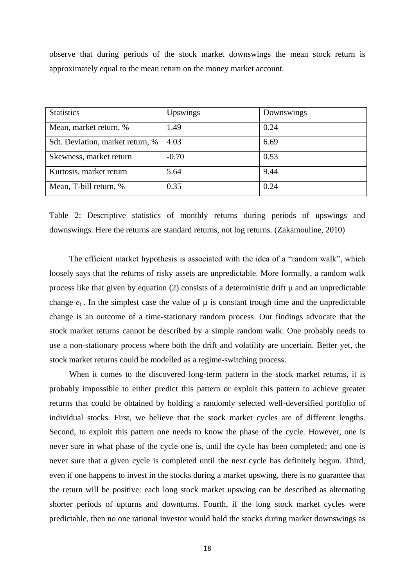observe that during periods of the stock market downswings the mean stock return is approximately equal to the mean return on the money market account.

| <b>Statistics</b>                | Upswings | Downswings |
|----------------------------------|----------|------------|
| Mean, market return, %           | 1.49     | 0.24       |
| Sdt. Deviation, market return, % | 4.03     | 6.69       |
| Skewness, market return          | $-0.70$  | 0.53       |
| Kurtosis, market return          | 5.64     | 9.44       |
| Mean, T-bill return, %           | 0.35     | 0.24       |

Table 2: Descriptive statistics of monthly returns during periods of upswings and downswings. Here the returns are standard returns, not log returns. (Zakamouline, 2010)

The efficient market hypothesis is associated with the idea of a "random walk", which loosely says that the returns of risky assets are unpredictable. More formally, a random walk process like that given by equation (2) consists of a deterministic drift  $\mu$  and an unpredictable change  $e_t$ . In the simplest case the value of  $\mu$  is constant trough time and the unpredictable change is an outcome of a time-stationary random process. Our findings advocate that the stock market returns cannot be described by a simple random walk. One probably needs to use a non-stationary process where both the drift and volatility are uncertain. Better yet, the stock market returns could be modelled as a regime-switching process.

When it comes to the discovered long-term pattern in the stock market returns, it is probably impossible to either predict this pattern or exploit this pattern to achieve greater returns that could be obtained by holding a randomly selected well-deversified portfolio of individual stocks. First, we believe that the stock market cycles are of different lengths. Second, to exploit this pattern one needs to know the phase of the cycle. However, one is never sure in what phase of the cycle one is, until the cycle has been completed; and one is never sure that a given cycle is completed until the next cycle has definitely begun. Third, even if one happens to invest in the stocks during a market upswing, there is no guarantee that the return will be positive: each long stock market upswing can be described as alternating shorter periods of upturns and downturns. Fourth, if the long stock market cycles were predictable, then no one rational investor would hold the stocks during market downswings as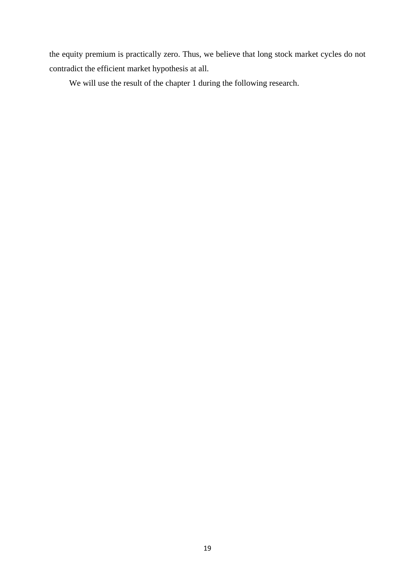the equity premium is practically zero. Thus, we believe that long stock market cycles do not contradict the efficient market hypothesis at all.

We will use the result of the chapter 1 during the following research.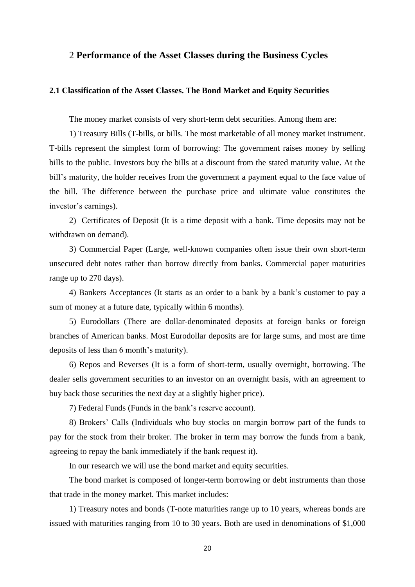### 2 **Performance of the Asset Classes during the Business Cycles**

#### **2.1 Classification of the Asset Classes. The Bond Market and Equity Securities**

The money market consists of very short-term debt securities. Among them are:

1) Treasury Bills (T-bills, or bills. The most marketable of all money market instrument. T-bills represent the simplest form of borrowing: The government raises money by selling bills to the public. Investors buy the bills at a discount from the stated maturity value. At the bill's maturity, the holder receives from the government a payment equal to the face value of the bill. The difference between the purchase price and ultimate value constitutes the investor's earnings).

2) Certificates of Deposit (It is a time deposit with a bank. Time deposits may not be withdrawn on demand).

3) Commercial Paper (Large, well-known companies often issue their own short-term unsecured debt notes rather than borrow directly from banks. Commercial paper maturities range up to 270 days).

4) Bankers Acceptances (It starts as an order to a bank by a bank's customer to pay a sum of money at a future date, typically within 6 months).

5) Eurodollars (There are dollar-denominated deposits at foreign banks or foreign branches of American banks. Most Eurodollar deposits are for large sums, and most are time deposits of less than 6 month's maturity).

6) Repos and Reverses (It is a form of short-term, usually overnight, borrowing. The dealer sells government securities to an investor on an overnight basis, with an agreement to buy back those securities the next day at a slightly higher price).

7) Federal Funds (Funds in the bank's reserve account).

8) Brokers' Calls (Individuals who buy stocks on margin borrow part of the funds to pay for the stock from their broker. The broker in term may borrow the funds from a bank, agreeing to repay the bank immediately if the bank request it).

In our research we will use the bond market and equity securities.

The bond market is composed of longer-term borrowing or debt instruments than those that trade in the money market. This market includes:

1) Treasury notes and bonds (T-note maturities range up to 10 years, whereas bonds are issued with maturities ranging from 10 to 30 years. Both are used in denominations of \$1,000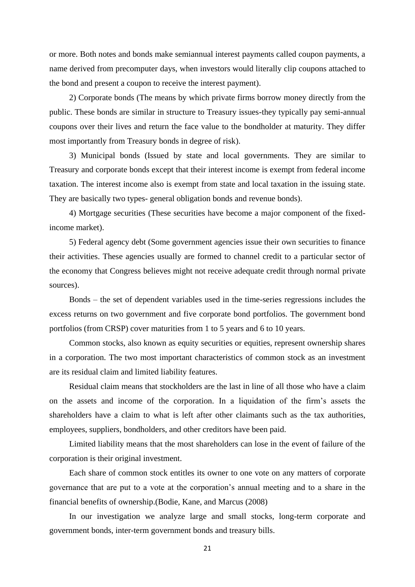or more. Both notes and bonds make semiannual interest payments called coupon payments, a name derived from precomputer days, when investors would literally clip coupons attached to the bond and present a coupon to receive the interest payment).

2) Corporate bonds (The means by which private firms borrow money directly from the public. These bonds are similar in structure to Treasury issues-they typically pay semi-annual coupons over their lives and return the face value to the bondholder at maturity. They differ most importantly from Treasury bonds in degree of risk).

3) Municipal bonds (Issued by state and local governments. They are similar to Treasury and corporate bonds except that their interest income is exempt from federal income taxation. The interest income also is exempt from state and local taxation in the issuing state. They are basically two types- general obligation bonds and revenue bonds).

4) Mortgage securities (These securities have become a major component of the fixedincome market).

5) Federal agency debt (Some government agencies issue their own securities to finance their activities. These agencies usually are formed to channel credit to a particular sector of the economy that Congress believes might not receive adequate credit through normal private sources).

Bonds – the set of dependent variables used in the time-series regressions includes the excess returns on two government and five corporate bond portfolios. The government bond portfolios (from CRSP) cover maturities from 1 to 5 years and 6 to 10 years.

Common stocks, also known as equity securities or equities, represent ownership shares in a corporation. The two most important characteristics of common stock as an investment are its residual claim and limited liability features.

Residual claim means that stockholders are the last in line of all those who have a claim on the assets and income of the corporation. In a liquidation of the firm's assets the shareholders have a claim to what is left after other claimants such as the tax authorities, employees, suppliers, bondholders, and other creditors have been paid.

Limited liability means that the most shareholders can lose in the event of failure of the corporation is their original investment.

Each share of common stock entitles its owner to one vote on any matters of corporate governance that are put to a vote at the corporation's annual meeting and to a share in the financial benefits of ownership.(Bodie, Kane, and Marcus (2008)

In our investigation we analyze large and small stocks, long-term corporate and government bonds, inter-term government bonds and treasury bills.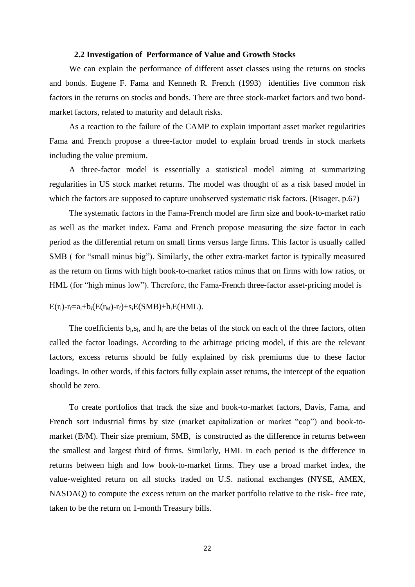#### **2.2 Investigation of Performance of Value and Growth Stocks**

We can explain the performance of different asset classes using the returns on stocks and bonds. Eugene F. Fama and Kenneth R. French (1993) identifies five common risk factors in the returns on stocks and bonds. There are three stock-market factors and two bondmarket factors, related to maturity and default risks.

As a reaction to the failure of the CAMP to explain important asset market regularities Fama and French propose a three-factor model to explain broad trends in stock markets including the value premium.

A three-factor model is essentially a statistical model aiming at summarizing regularities in US stock market returns. The model was thought of as a risk based model in which the factors are supposed to capture unobserved systematic risk factors. (Risager, p.67)

The systematic factors in the Fama-French model are firm size and book-to-market ratio as well as the market index. Fama and French propose measuring the size factor in each period as the differential return on small firms versus large firms. This factor is usually called SMB ( for "small minus big"). Similarly, the other extra-market factor is typically measured as the return on firms with high book-to-market ratios minus that on firms with low ratios, or HML (for "high minus low"). Therefore, the Fama-French three-factor asset-pricing model is

#### $E(r_i)-r_f=a_i+b_i(E(r_M)-r_f)+s_iE(SMB)+h_iE(HML).$

The coefficients  $b_i$ ,  $s_i$ , and  $h_i$  are the betas of the stock on each of the three factors, often called the factor loadings. According to the arbitrage pricing model, if this are the relevant factors, excess returns should be fully explained by risk premiums due to these factor loadings. In other words, if this factors fully explain asset returns, the intercept of the equation should be zero.

To create portfolios that track the size and book-to-market factors, Davis, Fama, and French sort industrial firms by size (market capitalization or market "cap") and book-tomarket (B/M). Their size premium, SMB, is constructed as the difference in returns between the smallest and largest third of firms. Similarly, HML in each period is the difference in returns between high and low book-to-market firms. They use a broad market index, the value-weighted return on all stocks traded on U.S. national exchanges (NYSE, AMEX, NASDAQ) to compute the excess return on the market portfolio relative to the risk- free rate, taken to be the return on 1-month Treasury bills.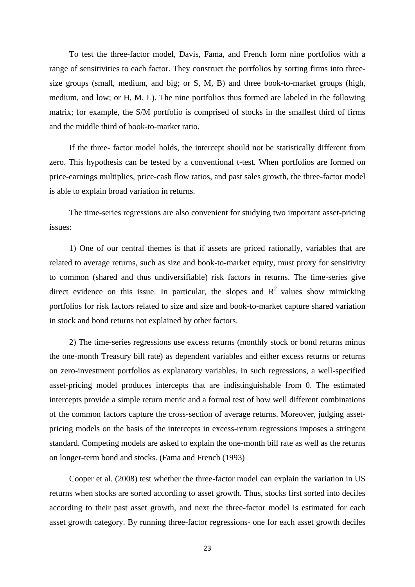To test the three-factor model, Davis, Fama, and French form nine portfolios with a range of sensitivities to each factor. They construct the portfolios by sorting firms into threesize groups (small, medium, and big; or S, M, B) and three book-to-market groups (high, medium, and low; or H, M, L). The nine portfolios thus formed are labeled in the following matrix; for example, the S/M portfolio is comprised of stocks in the smallest third of firms and the middle third of book-to-market ratio.

If the three- factor model holds, the intercept should not be statistically different from zero. This hypothesis can be tested by a conventional t-test. When portfolios are formed on price-earnings multiplies, price-cash flow ratios, and past sales growth, the three-factor model is able to explain broad variation in returns.

The time-series regressions are also convenient for studying two important asset-pricing issues:

1) One of our central themes is that if assets are priced rationally, variables that are related to average returns, such as size and book-to-market equity, must proxy for sensitivity to common (shared and thus undiversifiable) risk factors in returns. The time-series give direct evidence on this issue. In particular, the slopes and  $R^2$  values show mimicking portfolios for risk factors related to size and size and book-to-market capture shared variation in stock and bond returns not explained by other factors.

2) The time-series regressions use excess returns (monthly stock or bond returns minus the one-month Treasury bill rate) as dependent variables and either excess returns or returns on zero-investment portfolios as explanatory variables. In such regressions, a well-specified asset-pricing model produces intercepts that are indistinguishable from 0. The estimated intercepts provide a simple return metric and a formal test of how well different combinations of the common factors capture the cross-section of average returns. Moreover, judging assetpricing models on the basis of the intercepts in excess-return regressions imposes a stringent standard. Competing models are asked to explain the one-month bill rate as well as the returns on longer-term bond and stocks. (Fama and French (1993)

Cooper et al. (2008) test whether the three-factor model can explain the variation in US returns when stocks are sorted according to asset growth. Thus, stocks first sorted into deciles according to their past asset growth, and next the three-factor model is estimated for each asset growth category. By running three-factor regressions- one for each asset growth deciles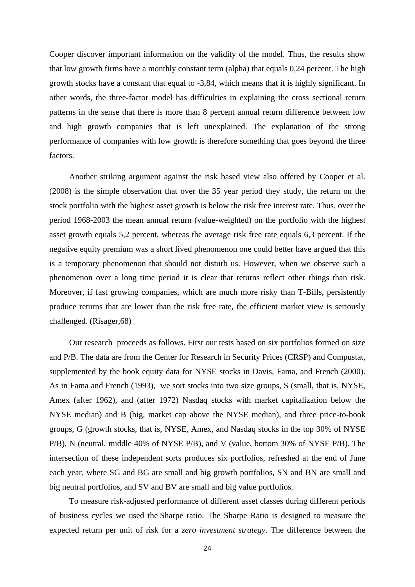Cooper discover important information on the validity of the model. Thus, the results show that low growth firms have a monthly constant term (alpha) that equals 0,24 percent. The high growth stocks have a constant that equal to -3,84, which means that it is highly significant. In other words, the three-factor model has difficulties in explaining the cross sectional return patterns in the sense that there is more than 8 percent annual return difference between low and high growth companies that is left unexplained. The explanation of the strong performance of companies with low growth is therefore something that goes beyond the three factors.

Another striking argument against the risk based view also offered by Cooper et al. (2008) is the simple observation that over the 35 year period they study, the return on the stock portfolio with the highest asset growth is below the risk free interest rate. Thus, over the period 1968-2003 the mean annual return (value-weighted) on the portfolio with the highest asset growth equals 5,2 percent, whereas the average risk free rate equals 6,3 percent. If the negative equity premium was a short lived phenomenon one could better have argued that this is a temporary phenomenon that should not disturb us. However, when we observe such a phenomenon over a long time period it is clear that returns reflect other things than risk. Moreover, if fast growing companies, which are much more risky than T-Bills, persistently produce returns that are lower than the risk free rate, the efficient market view is seriously challenged. (Risager,68)

Our research proceeds as follows. First our tests based on six portfolios formed on size and P/B. The data are from the Center for Research in Security Prices (CRSP) and Compustat, supplemented by the book equity data for NYSE stocks in Davis, Fama, and French (2000). As in Fama and French (1993), we sort stocks into two size groups, S (small, that is, NYSE, Amex (after 1962), and (after 1972) Nasdaq stocks with market capitalization below the NYSE median) and B (big, market cap above the NYSE median), and three price-to-book groups, G (growth stocks, that is, NYSE, Amex, and Nasdaq stocks in the top 30% of NYSE P/B), N (neutral, middle 40% of NYSE P/B), and V (value, bottom 30% of NYSE P/B). The intersection of these independent sorts produces six portfolios, refreshed at the end of June each year, where SG and BG are small and big growth portfolios, SN and BN are small and big neutral portfolios, and SV and BV are small and big value portfolios.

To measure risk-adjusted performance of different asset classes during different periods of business cycles we used the Sharpe ratio. The Sharpe Ratio is designed to measure the expected return per unit of risk for a *zero investment strategy*. The difference between the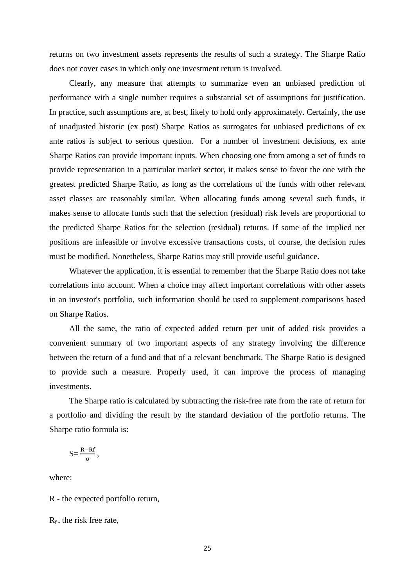returns on two investment assets represents the results of such a strategy. The Sharpe Ratio does not cover cases in which only one investment return is involved.

Clearly, any measure that attempts to summarize even an unbiased prediction of performance with a single number requires a substantial set of assumptions for justification. In practice, such assumptions are, at best, likely to hold only approximately. Certainly, the use of unadjusted historic (ex post) Sharpe Ratios as surrogates for unbiased predictions of ex ante ratios is subject to serious question. For a number of investment decisions, ex ante Sharpe Ratios can provide important inputs. When choosing one from among a set of funds to provide representation in a particular market sector, it makes sense to favor the one with the greatest predicted Sharpe Ratio, as long as the correlations of the funds with other relevant asset classes are reasonably similar. When allocating funds among several such funds, it makes sense to allocate funds such that the selection (residual) risk levels are proportional to the predicted Sharpe Ratios for the selection (residual) returns. If some of the implied net positions are infeasible or involve excessive transactions costs, of course, the decision rules must be modified. Nonetheless, Sharpe Ratios may still provide useful guidance.

Whatever the application, it is essential to remember that the Sharpe Ratio does not take correlations into account. When a choice may affect important correlations with other assets in an investor's portfolio, such information should be used to supplement comparisons based on Sharpe Ratios.

All the same, the ratio of expected added return per unit of added risk provides a convenient summary of two important aspects of any strategy involving the difference between the return of a fund and that of a relevant benchmark. The Sharpe Ratio is designed to provide such a measure. Properly used, it can improve the process of managing investments.

The Sharpe ratio is calculated by subtracting the risk-free rate from the rate of return for a portfolio and dividing the result by the standard deviation of the portfolio returns. The Sharpe ratio formula is:

$$
S{=}\frac{R{-}Rf}{\sigma}\,,
$$

where:

R - the expected portfolio return,

 $R_f$  the risk free rate,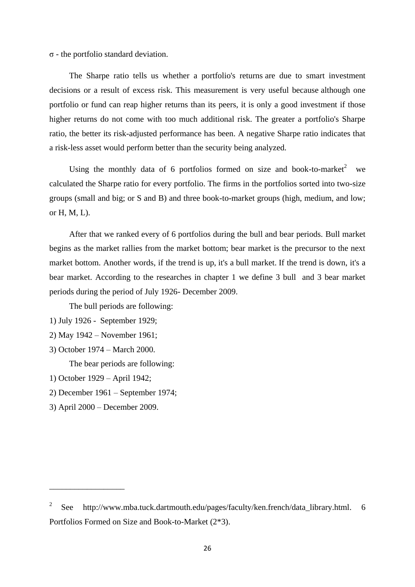σ - the portfolio standard deviation.

The Sharpe ratio tells us whether a portfolio's returns are due to smart investment decisions or a result of excess risk. This measurement is very useful because although one portfolio or fund can reap higher returns than its peers, it is only a good investment if those higher returns do not come with too much additional risk. The greater a portfolio's Sharpe ratio, the better its risk-adjusted performance has been. A negative Sharpe ratio indicates that a risk-less asset would perform better than the security being analyzed.

Using the monthly data of 6 portfolios formed on size and book-to-market<sup>2</sup> we calculated the Sharpe ratio for every portfolio. The firms in the portfolios sorted into two-size groups (small and big; or S and B) and three book-to-market groups (high, medium, and low; or H, M, L).

After that we ranked every of 6 portfolios during the bull and bear periods. Bull market begins as the market rallies from the market bottom; bear market is the precursor to the next market bottom. Another words, if the trend is up, it's a bull market. If the trend is down, it's a bear market. According to the researches in chapter 1 we define 3 bull and 3 bear market periods during the period of July 1926- December 2009.

The bull periods are following:

1) July 1926 - September 1929;

2) May 1942 – November 1961;

3) October 1974 – March 2000.

The bear periods are following:

- 1) October 1929 April 1942;
- 2) December 1961 September 1974;
- 3) April 2000 December 2009.

\_\_\_\_\_\_\_\_\_\_\_\_\_\_\_\_\_\_

<sup>2</sup> See http://www.mba.tuck.dartmouth.edu/pages/faculty/ken.french/data\_library.html. 6 Portfolios Formed on Size and Book-to-Market (2\*3).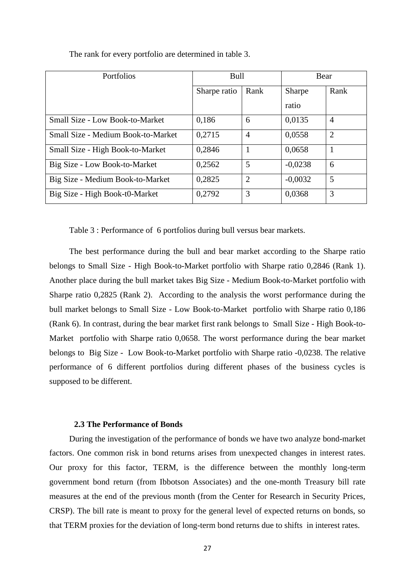| <b>Portfolios</b>                      | <b>Bull</b>  |                | Bear      |                |
|----------------------------------------|--------------|----------------|-----------|----------------|
|                                        | Sharpe ratio | Rank           | Sharpe    | Rank           |
|                                        |              |                | ratio     |                |
| <b>Small Size - Low Book-to-Market</b> | 0.186        | 6              | 0,0135    | $\overline{A}$ |
| Small Size - Medium Book-to-Market     | 0.2715       | $\overline{4}$ | 0.0558    | $\overline{2}$ |
| Small Size - High Book-to-Market       | 0,2846       |                | 0,0658    |                |
| Big Size - Low Book-to-Market          | 0,2562       | 5              | $-0,0238$ | 6              |
| Big Size - Medium Book-to-Market       | 0,2825       | $\overline{2}$ | $-0,0032$ | 5              |
| Big Size - High Book-t0-Market         | 0,2792       | 3              | 0,0368    | 3              |

The rank for every portfolio are determined in table 3.

Table 3 : Performance of 6 portfolios during bull versus bear markets.

The best performance during the bull and bear market according to the Sharpe ratio belongs to Small Size - High Book-to-Market portfolio with Sharpe ratio 0,2846 (Rank 1). Another place during the bull market takes Big Size - Medium Book-to-Market portfolio with Sharpe ratio 0,2825 (Rank 2). According to the analysis the worst performance during the bull market belongs to Small Size - Low Book-to-Market portfolio with Sharpe ratio 0,186 (Rank 6). In contrast, during the bear market first rank belongs to Small Size - High Book-to-Market portfolio with Sharpe ratio 0,0658. The worst performance during the bear market belongs to Big Size - Low Book-to-Market portfolio with Sharpe ratio -0,0238. The relative performance of 6 different portfolios during different phases of the business cycles is supposed to be different.

### **2.3 The Performance of Bonds**

During the investigation of the performance of bonds we have two analyze bond-market factors. One common risk in bond returns arises from unexpected changes in interest rates. Our proxy for this factor, TERM, is the difference between the monthly long-term government bond return (from Ibbotson Associates) and the one-month Treasury bill rate measures at the end of the previous month (from the Center for Research in Security Prices, CRSP). The bill rate is meant to proxy for the general level of expected returns on bonds, so that TERM proxies for the deviation of long-term bond returns due to shifts in interest rates.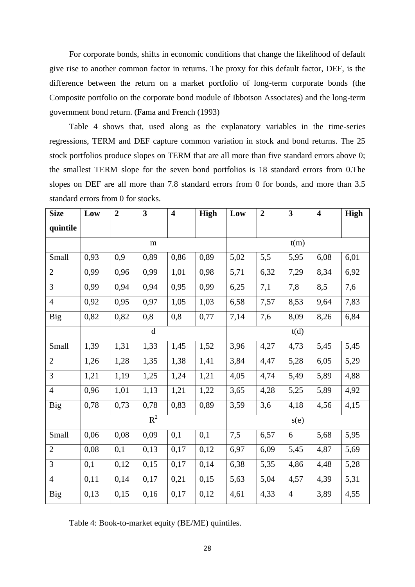For corporate bonds, shifts in economic conditions that change the likelihood of default give rise to another common factor in returns. The proxy for this default factor, DEF, is the difference between the return on a market portfolio of long-term corporate bonds (the Composite portfolio on the corporate bond module of Ibbotson Associates) and the long-term government bond return. (Fama and French (1993)

Table 4 shows that, used along as the explanatory variables in the time-series regressions, TERM and DEF capture common variation in stock and bond returns. The 25 stock portfolios produce slopes on TERM that are all more than five standard errors above 0; the smallest TERM slope for the seven bond portfolios is 18 standard errors from 0.The slopes on DEF are all more than 7.8 standard errors from 0 for bonds, and more than 3.5 standard errors from 0 for stocks.

| <b>Size</b>    | Low   | $\overline{2}$ | $\overline{\mathbf{3}}$ | $\overline{\mathbf{4}}$ | High | Low  | $\overline{2}$ | $\overline{\mathbf{3}}$ | $\overline{\mathbf{4}}$ | <b>High</b> |
|----------------|-------|----------------|-------------------------|-------------------------|------|------|----------------|-------------------------|-------------------------|-------------|
| quintile       |       |                |                         |                         |      |      |                |                         |                         |             |
|                | m     |                |                         |                         | t(m) |      |                |                         |                         |             |
| Small          | 0,93  | 0,9            | 0,89                    | 0,86                    | 0,89 | 5,02 | 5,5            | 5,95                    | 6,08                    | 6,01        |
| $\overline{2}$ | 0,99  | 0,96           | 0,99                    | 1,01                    | 0,98 | 5,71 | 6,32           | 7,29                    | 8,34                    | 6,92        |
| 3              | 0,99  | 0,94           | 0,94                    | 0,95                    | 0,99 | 6,25 | 7,1            | 7,8                     | 8,5                     | 7,6         |
| $\overline{4}$ | 0,92  | 0,95           | 0,97                    | 1,05                    | 1,03 | 6,58 | 7,57           | 8,53                    | 9,64                    | 7,83        |
| <b>Big</b>     | 0,82  | 0,82           | 0,8                     | 0,8                     | 0,77 | 7,14 | 7,6            | 8,09                    | 8,26                    | 6,84        |
|                |       | $\mathbf d$    |                         |                         |      | t(d) |                |                         |                         |             |
| Small          | 1,39  | 1,31           | 1,33                    | 1,45                    | 1,52 | 3,96 | 4,27           | 4,73                    | 5,45                    | 5,45        |
| $\overline{2}$ | 1,26  | 1,28           | 1,35                    | 1,38                    | 1,41 | 3,84 | 4,47           | 5,28                    | 6,05                    | 5,29        |
| 3              | 1,21  | 1,19           | 1,25                    | 1,24                    | 1,21 | 4,05 | 4,74           | 5,49                    | 5,89                    | 4,88        |
| $\overline{4}$ | 0,96  | 1,01           | 1,13                    | 1,21                    | 1,22 | 3,65 | 4,28           | 5,25                    | 5,89                    | 4,92        |
| <b>Big</b>     | 0,78  | 0,73           | 0,78                    | 0,83                    | 0,89 | 3,59 | 3,6            | 4,18                    | 4,56                    | 4,15        |
|                | $R^2$ |                |                         | s(e)                    |      |      |                |                         |                         |             |
| Small          | 0,06  | 0,08           | 0,09                    | 0,1                     | 0,1  | 7,5  | 6,57           | 6                       | 5,68                    | 5,95        |
| $\overline{2}$ | 0,08  | 0,1            | 0,13                    | 0,17                    | 0,12 | 6,97 | 6,09           | 5,45                    | 4,87                    | 5,69        |
| 3              | 0,1   | 0,12           | 0,15                    | 0,17                    | 0,14 | 6,38 | 5,35           | 4,86                    | 4,48                    | 5,28        |
| $\overline{4}$ | 0,11  | 0,14           | 0,17                    | 0,21                    | 0,15 | 5,63 | 5,04           | 4,57                    | 4,39                    | 5,31        |
| <b>Big</b>     | 0,13  | 0,15           | 0,16                    | 0,17                    | 0,12 | 4,61 | 4,33           | $\overline{4}$          | 3,89                    | 4,55        |

Table 4: Book-to-market equity (BE/ME) quintiles.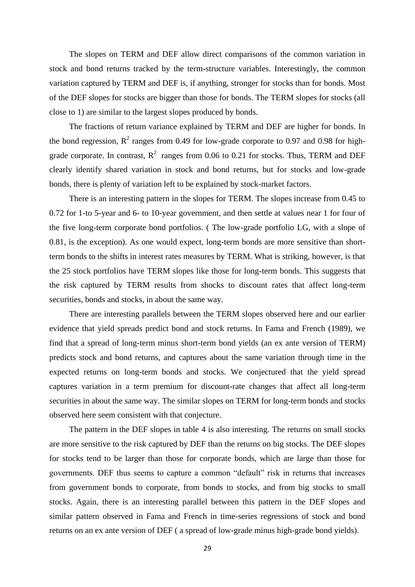The slopes on TERM and DEF allow direct comparisons of the common variation in stock and bond returns tracked by the term-structure variables. Interestingly, the common variation captured by TERM and DEF is, if anything, stronger for stocks than for bonds. Most of the DEF slopes for stocks are bigger than those for bonds. The TERM slopes for stocks (all close to 1) are similar to the largest slopes produced by bonds.

The fractions of return variance explained by TERM and DEF are higher for bonds. In the bond regression,  $R^2$  ranges from 0.49 for low-grade corporate to 0.97 and 0.98 for highgrade corporate. In contrast,  $R^2$  ranges from 0.06 to 0.21 for stocks. Thus, TERM and DEF clearly identify shared variation in stock and bond returns, but for stocks and low-grade bonds, there is plenty of variation left to be explained by stock-market factors.

There is an interesting pattern in the slopes for TERM. The slopes increase from 0.45 to 0.72 for 1-to 5-year and 6- to 10-year government, and then settle at values near 1 for four of the five long-term corporate bond portfolios. ( The low-grade portfolio LG, with a slope of 0.81, is the exception). As one would expect, long-term bonds are more sensitive than shortterm bonds to the shifts in interest rates measures by TERM. What is striking, however, is that the 25 stock portfolios have TERM slopes like those for long-term bonds. This suggests that the risk captured by TERM results from shocks to discount rates that affect long-term securities, bonds and stocks, in about the same way.

There are interesting parallels between the TERM slopes observed here and our earlier evidence that yield spreads predict bond and stock returns. In Fama and French (1989), we find that a spread of long-term minus short-term bond yields (an ex ante version of TERM) predicts stock and bond returns, and captures about the same variation through time in the expected returns on long-term bonds and stocks. We conjectured that the yield spread captures variation in a term premium for discount-rate changes that affect all long-term securities in about the same way. The similar slopes on TERM for long-term bonds and stocks observed here seem consistent with that conjecture.

The pattern in the DEF slopes in table 4 is also interesting. The returns on small stocks are more sensitive to the risk captured by DEF than the returns on big stocks. The DEF slopes for stocks tend to be larger than those for corporate bonds, which are large than those for governments. DEF thus seems to capture a common "default" risk in returns that increases from government bonds to corporate, from bonds to stocks, and from big stocks to small stocks. Again, there is an interesting parallel between this pattern in the DEF slopes and similar pattern observed in Fama and French in time-series regressions of stock and bond returns on an ex ante version of DEF ( a spread of low-grade minus high-grade bond yields).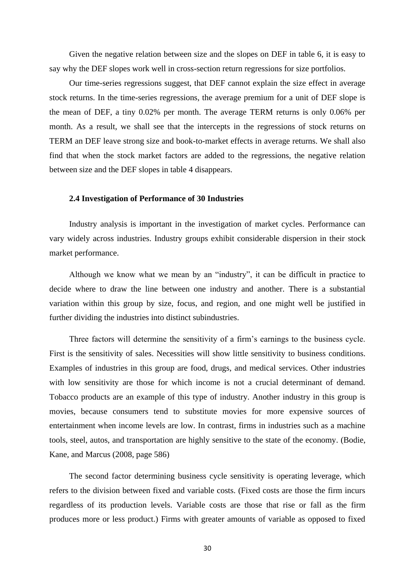Given the negative relation between size and the slopes on DEF in table 6, it is easy to say why the DEF slopes work well in cross-section return regressions for size portfolios.

Our time-series regressions suggest, that DEF cannot explain the size effect in average stock returns. In the time-series regressions, the average premium for a unit of DEF slope is the mean of DEF, a tiny 0.02% per month. The average TERM returns is only 0.06% per month. As a result, we shall see that the intercepts in the regressions of stock returns on TERM an DEF leave strong size and book-to-market effects in average returns. We shall also find that when the stock market factors are added to the regressions, the negative relation between size and the DEF slopes in table 4 disappears.

#### **2.4 Investigation of Performance of 30 Industries**

Industry analysis is important in the investigation of market cycles. Performance can vary widely across industries. Industry groups exhibit considerable dispersion in their stock market performance.

Although we know what we mean by an "industry", it can be difficult in practice to decide where to draw the line between one industry and another. There is a substantial variation within this group by size, focus, and region, and one might well be justified in further dividing the industries into distinct subindustries.

Three factors will determine the sensitivity of a firm's earnings to the business cycle. First is the sensitivity of sales. Necessities will show little sensitivity to business conditions. Examples of industries in this group are food, drugs, and medical services. Other industries with low sensitivity are those for which income is not a crucial determinant of demand. Tobacco products are an example of this type of industry. Another industry in this group is movies, because consumers tend to substitute movies for more expensive sources of entertainment when income levels are low. In contrast, firms in industries such as a machine tools, steel, autos, and transportation are highly sensitive to the state of the economy. (Bodie, Kane, and Marcus (2008, page 586)

The second factor determining business cycle sensitivity is operating leverage, which refers to the division between fixed and variable costs. (Fixed costs are those the firm incurs regardless of its production levels. Variable costs are those that rise or fall as the firm produces more or less product.) Firms with greater amounts of variable as opposed to fixed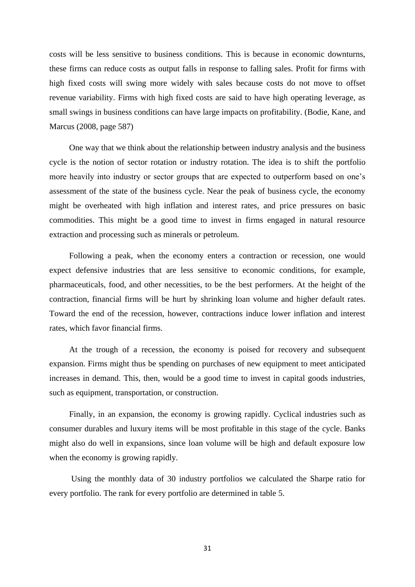costs will be less sensitive to business conditions. This is because in economic downturns, these firms can reduce costs as output falls in response to falling sales. Profit for firms with high fixed costs will swing more widely with sales because costs do not move to offset revenue variability. Firms with high fixed costs are said to have high operating leverage, as small swings in business conditions can have large impacts on profitability. (Bodie, Kane, and Marcus (2008, page 587)

One way that we think about the relationship between industry analysis and the business cycle is the notion of sector rotation or industry rotation. The idea is to shift the portfolio more heavily into industry or sector groups that are expected to outperform based on one's assessment of the state of the business cycle. Near the peak of business cycle, the economy might be overheated with high inflation and interest rates, and price pressures on basic commodities. This might be a good time to invest in firms engaged in natural resource extraction and processing such as minerals or petroleum.

Following a peak, when the economy enters a contraction or recession, one would expect defensive industries that are less sensitive to economic conditions, for example, pharmaceuticals, food, and other necessities, to be the best performers. At the height of the contraction, financial firms will be hurt by shrinking loan volume and higher default rates. Toward the end of the recession, however, contractions induce lower inflation and interest rates, which favor financial firms.

At the trough of a recession, the economy is poised for recovery and subsequent expansion. Firms might thus be spending on purchases of new equipment to meet anticipated increases in demand. This, then, would be a good time to invest in capital goods industries, such as equipment, transportation, or construction.

Finally, in an expansion, the economy is growing rapidly. Cyclical industries such as consumer durables and luxury items will be most profitable in this stage of the cycle. Banks might also do well in expansions, since loan volume will be high and default exposure low when the economy is growing rapidly.

Using the monthly data of 30 industry portfolios we calculated the Sharpe ratio for every portfolio. The rank for every portfolio are determined in table 5.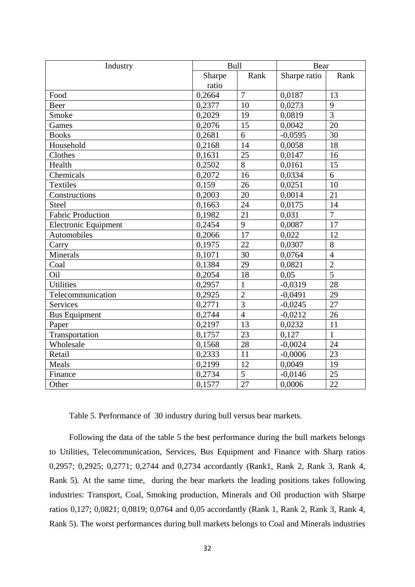| Industry                    | Bull   |                | Bear         |                |  |
|-----------------------------|--------|----------------|--------------|----------------|--|
|                             | Sharpe | Rank           | Sharpe ratio | Rank           |  |
|                             | ratio  |                |              |                |  |
| Food                        | 0,2664 | $\overline{7}$ | 0,0187       | 13             |  |
| Beer                        | 0,2377 | 10             | 0,0273       | 9              |  |
| Smoke                       | 0,2029 | 19             | 0,0819       | $\overline{3}$ |  |
| Games                       | 0,2076 | 15             | 0,0042       | 20             |  |
| <b>Books</b>                | 0,2681 | 6              | $-0,0595$    | 30             |  |
| Household                   | 0,2168 | 14             | 0,0058       | 18             |  |
| Clothes                     | 0,1631 | 25             | 0,0147       | 16             |  |
| Health                      | 0,2502 | 8              | 0,0161       | 15             |  |
| Chemicals                   | 0,2072 | 16             | 0,0334       | 6              |  |
| <b>Textiles</b>             | 0,159  | 26             | 0,0251       | 10             |  |
| Constructions               | 0,2003 | 20             | 0,0014       | 21             |  |
| <b>Steel</b>                | 0,1663 | 24             | 0,0175       | 14             |  |
| <b>Fabric Production</b>    | 0.1982 | 21             | 0,031        | $\overline{7}$ |  |
| <b>Electronic Equipment</b> | 0,2454 | 9              | 0,0087       | 17             |  |
| Automobiles                 | 0,2066 | 17             | 0,022        | 12             |  |
| Carry                       | 0,1975 | 22             | 0,0307       | 8              |  |
| <b>Minerals</b>             | 0,1071 | 30             | 0,0764       | $\overline{4}$ |  |
| Coal                        | 0,1384 | 29             | 0,0821       | $\overline{2}$ |  |
| Oil                         | 0,2054 | 18             | 0,05         | $\overline{5}$ |  |
| <b>Utilities</b>            | 0,2957 | $\mathbf{1}$   | $-0,0319$    | 28             |  |
| Telecommunication           | 0,2925 | $\overline{2}$ | $-0,0491$    | 29             |  |
| <b>Services</b>             | 0,2771 | 3              | $-0,0245$    | 27             |  |
| <b>Bus Equipment</b>        | 0,2744 | $\overline{4}$ | $-0,0212$    | 26             |  |
| Paper                       | 0,2197 | 13             | 0,0232       | 11             |  |
| Transportation              | 0,1757 | 23             | 0,127        | $\mathbf{1}$   |  |
| Wholesale                   | 0,1568 | 28             | $-0,0024$    | 24             |  |
| Retail                      | 0,2333 | 11             | $-0,0006$    | 23             |  |
| Meals                       | 0,2199 | 12             | 0,0049       | 19             |  |
| Finance                     | 0,2734 | 5              | $-0,0146$    | 25             |  |
| Other                       | 0,1577 | 27             | 0,0006       | 22             |  |

Table 5. Performance of 30 industry during bull versus bear markets.

Following the data of the table 5 the best performance during the bull markets belongs to Utilities, Telecommunication, Services, Bus Equipment and Finance with Sharp ratios 0,2957; 0,2925; 0,2771; 0,2744 and 0,2734 accordantly (Rank1, Rank 2, Rank 3, Rank 4, Rank 5). At the same time, during the bear markets the leading positions takes following industries: Transport, Coal, Smoking production, Minerals and Oil production with Sharpe ratios 0,127; 0,0821; 0,0819; 0,0764 and 0,05 accordantly (Rank 1, Rank 2, Rank 3, Rank 4, Rank 5). The worst performances during bull markets belongs to Coal and Minerals industries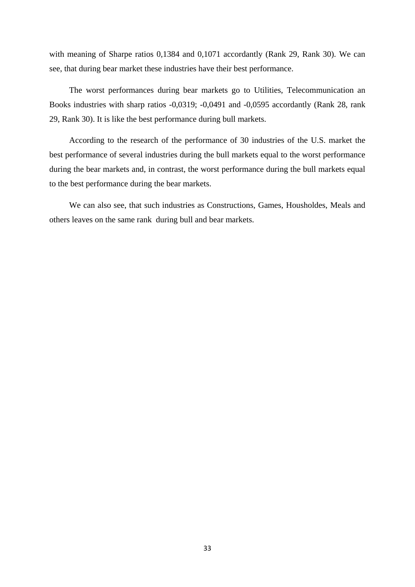with meaning of Sharpe ratios 0,1384 and 0,1071 accordantly (Rank 29, Rank 30). We can see, that during bear market these industries have their best performance.

The worst performances during bear markets go to Utilities, Telecommunication an Books industries with sharp ratios -0,0319; -0,0491 and -0,0595 accordantly (Rank 28, rank 29, Rank 30). It is like the best performance during bull markets.

According to the research of the performance of 30 industries of the U.S. market the best performance of several industries during the bull markets equal to the worst performance during the bear markets and, in contrast, the worst performance during the bull markets equal to the best performance during the bear markets.

We can also see, that such industries as Constructions, Games, Housholdes, Meals and others leaves on the same rank during bull and bear markets.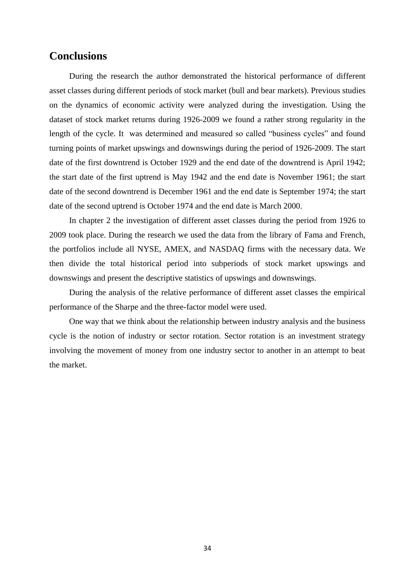### **Conclusions**

During the research the author demonstrated the historical performance of different asset classes during different periods of stock market (bull and bear markets). Previous studies on the dynamics of economic activity were analyzed during the investigation. Using the dataset of stock market returns during 1926-2009 we found a rather strong regularity in the length of the cycle. It was determined and measured so called "business cycles" and found turning points of market upswings and downswings during the period of 1926-2009. The start date of the first downtrend is October 1929 and the end date of the downtrend is April 1942; the start date of the first uptrend is May 1942 and the end date is November 1961; the start date of the second downtrend is December 1961 and the end date is September 1974; the start date of the second uptrend is October 1974 and the end date is March 2000.

In chapter 2 the investigation of different asset classes during the period from 1926 to 2009 took place. During the research we used the data from the library of Fama and French, the portfolios include all NYSE, AMEX, and NASDAQ firms with the necessary data. We then divide the total historical period into subperiods of stock market upswings and downswings and present the descriptive statistics of upswings and downswings.

During the analysis of the relative performance of different asset classes the empirical performance of the Sharpe and the three-factor model were used.

One way that we think about the relationship between industry analysis and the business cycle is the notion of industry or sector rotation. Sector rotation is an investment strategy involving the movement of money from one industry sector to another in an attempt to beat the market.